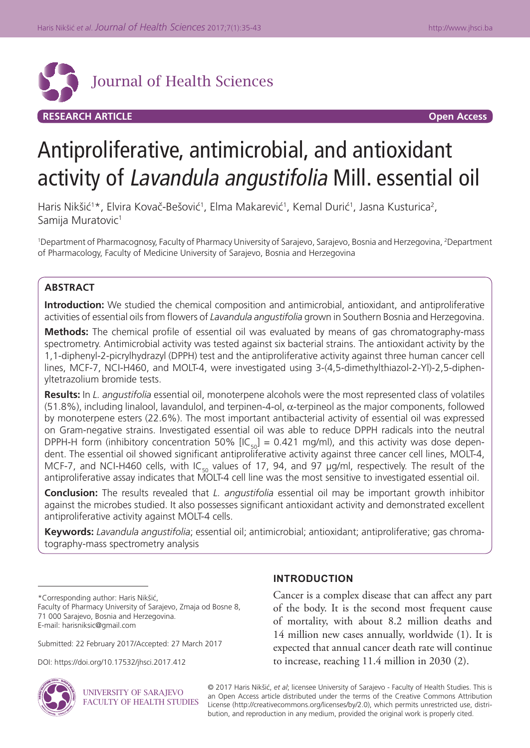

# Antiproliferative, antimicrobial, and antioxidant activity of Lavandula angustifolia Mill. essential oil

Haris Nikšić<sup>1\*</sup>, Elvira Kovač-Bešović<sup>1</sup>, Elma Makarević<sup>1</sup>, Kemal Durić<sup>1</sup>, Jasna Kusturica<sup>2</sup>, Samija Muratovic<sup>1</sup>

<sup>1</sup>Department of Pharmacognosy, Faculty of Pharmacy University of Sarajevo, Sarajevo, Bosnia and Herzegovina, <sup>2</sup>Department of Pharmacology, Faculty of Medicine University of Sarajevo, Bosnia and Herzegovina

# **ABSTRACT**

**Introduction:** We studied the chemical composition and antimicrobial, antioxidant, and antiproliferative activities of essential oils from flowers of *Lavandula angustifolia* grown in Southern Bosnia and Herzegovina.

**Methods:** The chemical profile of essential oil was evaluated by means of gas chromatography-mass spectrometry. Antimicrobial activity was tested against six bacterial strains. The antioxidant activity by the 1,1-diphenyl-2-picrylhydrazyl (DPPH) test and the antiproliferative activity against three human cancer cell lines, MCF-7, NCI-H460, and MOLT-4, were investigated using 3-(4,5-dimethylthiazol-2-Yl)-2,5-diphenyltetrazolium bromide tests.

**Results:** In *L. angustifolia* essential oil, monoterpene alcohols were the most represented class of volatiles  $(51.8\%)$ , including linalool, lavandulol, and terpinen-4-ol,  $\alpha$ -terpineol as the major components, followed by monoterpene esters (22.6%). The most important antibacterial activity of essential oil was expressed on Gram-negative strains. Investigated essential oil was able to reduce DPPH radicals into the neutral DPPH-H form (inhibitory concentration 50%  $\left[IC_{50}\right] = 0.421$  mg/ml), and this activity was dose dependent. The essential oil showed significant antiproliferative activity against three cancer cell lines, MOLT-4, MCF-7, and NCI-H460 cells, with IC<sub>50</sub> values of 17, 94, and 97  $\mu$ g/ml, respectively. The result of the antiproliferative assay indicates that MOLT-4 cell line was the most sensitive to investigated essential oil.

**Conclusion:** The results revealed that *L. angustifolia* essential oil may be important growth inhibitor against the microbes studied. It also possesses significant antioxidant activity and demonstrated excellent antiproliferative activity against MOLT-4 cells.

**Keywords:** *Lavandula angustifolia*; essential oil; antimicrobial; antioxidant; antiproliferative; gas chromatography-mass spectrometry analysis

Faculty of Pharmacy University of Sarajevo, Zmaja od Bosne 8, 71 000 Sarajevo, Bosnia and Herzegovina. E-mail: harisniksic@gmail.com

Submitted: 22 February 2017/Accepted: 27 March 2017

DOI: https://doi.org/10.17532/jhsci.2017.412



*UNIVERSITY OF SARAJEVO* **FACULTY OF HEALTH STUDIES** 

# **INTRODUCTION**

Cancer is a complex disease that can affect any part of the body. It is the second most frequent cause of mortality, with about 8.2 million deaths and 14 million new cases annually, worldwide (1). It is expected that annual cancer death rate will continue to increase, reaching 11.4 million in 2030 (2).

© 2017 Haris Nikšić, *et al*; licensee University of Sarajevo - Faculty of Health Studies. This is an Open Access article distributed under the terms of the Creative Commons Attribution License (http://creativecommons.org/licenses/by/2.0), which permits unrestricted use, distribution, and reproduction in any medium, provided the original work is properly cited.

<sup>\*</sup>Corresponding author: Haris Nikšić,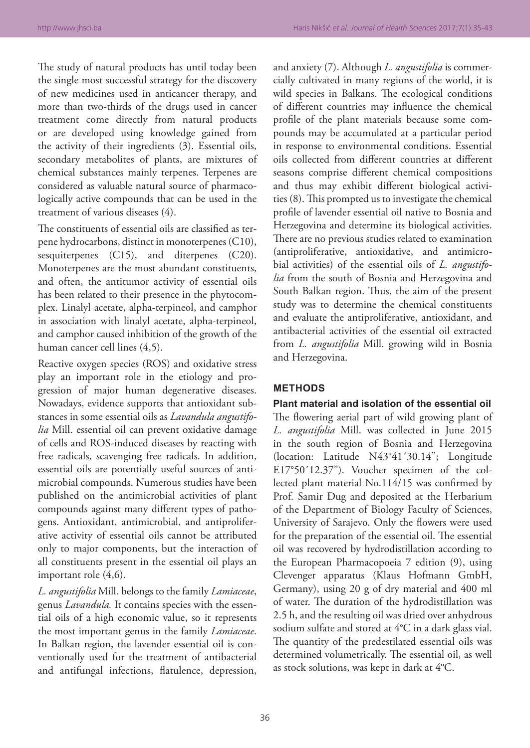The study of natural products has until today been the single most successful strategy for the discovery of new medicines used in anticancer therapy, and more than two-thirds of the drugs used in cancer treatment come directly from natural products or are developed using knowledge gained from the activity of their ingredients (3). Essential oils, secondary metabolites of plants, are mixtures of chemical substances mainly terpenes. Terpenes are considered as valuable natural source of pharmacologically active compounds that can be used in the treatment of various diseases (4).

The constituents of essential oils are classified as terpene hydrocarbons, distinct in monoterpenes (C10), sesquiterpenes (C15), and diterpenes (C20). Monoterpenes are the most abundant constituents, and often, the antitumor activity of essential oils has been related to their presence in the phytocomplex. Linalyl acetate, alpha-terpineol, and camphor in association with linalyl acetate, alpha-terpineol, and camphor caused inhibition of the growth of the human cancer cell lines (4,5).

Reactive oxygen species (ROS) and oxidative stress play an important role in the etiology and progression of major human degenerative diseases. Nowadays, evidence supports that antioxidant substances in some essential oils as *Lavandula angustifolia* Mill. essential oil can prevent oxidative damage of cells and ROS-induced diseases by reacting with free radicals, scavenging free radicals. In addition, essential oils are potentially useful sources of antimicrobial compounds. Numerous studies have been published on the antimicrobial activities of plant compounds against many different types of pathogens. Antioxidant, antimicrobial, and antiproliferative activity of essential oils cannot be attributed only to major components, but the interaction of all constituents present in the essential oil plays an important role (4,6).

*L. angustifolia* Mill. belongs to the family *Lamiaceae*, genus *Lavandula.* It contains species with the essential oils of a high economic value, so it represents the most important genus in the family *Lamiaceae*. In Balkan region, the lavender essential oil is conventionally used for the treatment of antibacterial and antifungal infections, flatulence, depression,

and anxiety (7). Although *L. angustifolia* is commercially cultivated in many regions of the world, it is wild species in Balkans. The ecological conditions of different countries may influence the chemical profile of the plant materials because some compounds may be accumulated at a particular period in response to environmental conditions. Essential oils collected from different countries at different seasons comprise different chemical compositions and thus may exhibit different biological activities (8). This prompted us to investigate the chemical profile of lavender essential oil native to Bosnia and Herzegovina and determine its biological activities. There are no previous studies related to examination (antiproliferative, antioxidative, and antimicrobial activities) of the essential oils of *L. angustifolia* from the south of Bosnia and Herzegovina and South Balkan region. Thus, the aim of the present study was to determine the chemical constituents and evaluate the antiproliferative, antioxidant, and antibacterial activities of the essential oil extracted from *L. angustifolia* Mill. growing wild in Bosnia and Herzegovina.

# **METHODS**

**Plant material and isolation of the essential oil** The flowering aerial part of wild growing plant of *L. angustifolia* Mill. was collected in June 2015 in the south region of Bosnia and Herzegovina (location: Latitude N43°41´30.14"; Longitude E17°50´12.37"). Voucher specimen of the collected plant material No.114/15 was confirmed by Prof. Samir Đug and deposited at the Herbarium of the Department of Biology Faculty of Sciences, University of Sarajevo. Only the flowers were used for the preparation of the essential oil. The essential oil was recovered by hydrodistillation according to the European Pharmacopoeia 7 edition (9), using Clevenger apparatus (Klaus Hofmann GmbH, Germany), using 20 g of dry material and 400 ml of water. The duration of the hydrodistillation was 2.5 h, and the resulting oil was dried over anhydrous sodium sulfate and stored at 4°C in a dark glass vial. The quantity of the predestilated essential oils was determined volumetrically. The essential oil, as well as stock solutions, was kept in dark at 4°C.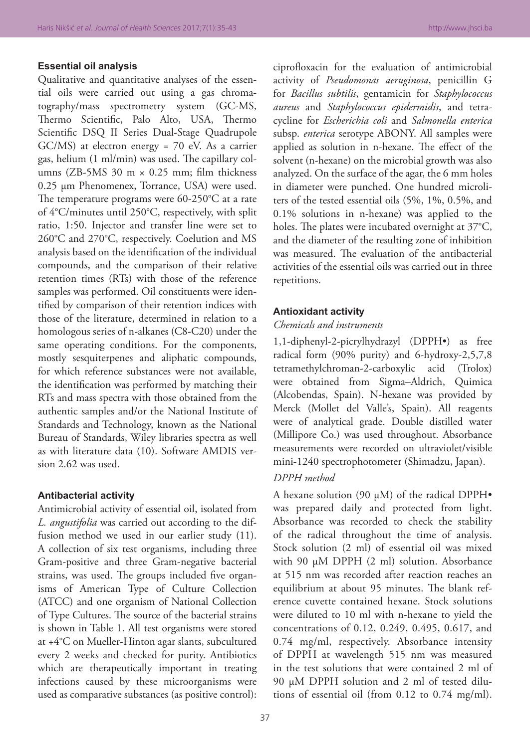# **Essential oil analysis**

Qualitative and quantitative analyses of the essential oils were carried out using a gas chromatography/mass spectrometry system (GC-MS, Thermo Scientific, Palo Alto, USA, Thermo Scientific DSQ II Series Dual-Stage Quadrupole GC/MS) at electron energy = 70 eV. As a carrier gas, helium (1 ml/min) was used. The capillary columns (ZB-5MS 30 m  $\times$  0.25 mm; film thickness 0.25 µm Phenomenex, Torrance, USA) were used. The temperature programs were 60-250°C at a rate of 4°C/minutes until 250°C, respectively, with split ratio, 1:50. Injector and transfer line were set to 260°C and 270°C, respectively. Coelution and MS analysis based on the identification of the individual compounds, and the comparison of their relative retention times (RTs) with those of the reference samples was performed. Oil constituents were identified by comparison of their retention indices with those of the literature, determined in relation to a homologous series of n-alkanes (C8-C20) under the same operating conditions. For the components, mostly sesquiterpenes and aliphatic compounds, for which reference substances were not available, the identification was performed by matching their RTs and mass spectra with those obtained from the authentic samples and/or the National Institute of Standards and Technology, known as the National Bureau of Standards, Wiley libraries spectra as well as with literature data (10). Software AMDIS version 2.62 was used.

#### **Antibacterial activity**

Antimicrobial activity of essential oil, isolated from *L. angustifolia* was carried out according to the diffusion method we used in our earlier study (11). A collection of six test organisms, including three Gram-positive and three Gram-negative bacterial strains, was used. The groups included five organisms of American Type of Culture Collection (ATCC) and one organism of National Collection of Type Cultures. The source of the bacterial strains is shown in Table 1. All test organisms were stored at +4°C on Mueller-Hinton agar slants, subcultured every 2 weeks and checked for purity. Antibiotics which are therapeutically important in treating infections caused by these microorganisms were used as comparative substances (as positive control):

ciprofloxacin for the evaluation of antimicrobial activity of *Pseudomonas aeruginosa*, penicillin G for *Bacillus subtilis*, gentamicin for *Staphylococcus aureus* and *Staphylococcus epidermidis*, and tetracycline for *Escherichia coli* and *Salmonella enterica*  subsp. *enterica* serotype ABONY. All samples were applied as solution in n-hexane. The effect of the solvent (n-hexane) on the microbial growth was also analyzed. On the surface of the agar, the 6 mm holes in diameter were punched. One hundred microliters of the tested essential oils (5%, 1%, 0.5%, and 0.1% solutions in n-hexane) was applied to the holes. The plates were incubated overnight at 37°C, and the diameter of the resulting zone of inhibition was measured. The evaluation of the antibacterial activities of the essential oils was carried out in three repetitions.

#### **Antioxidant activity**

# *Chemicals and instruments*

1,1-diphenyl-2-picrylhydrazyl (DPPH•) as free radical form (90% purity) and 6-hydroxy-2,5,7,8 tetramethylchroman-2-carboxylic acid (Trolox) were obtained from Sigma–Aldrich, Quimica (Alcobendas, Spain). N-hexane was provided by Merck (Mollet del Valle's, Spain). All reagents were of analytical grade. Double distilled water (Millipore Co.) was used throughout. Absorbance measurements were recorded on ultraviolet/visible mini-1240 spectrophotometer (Shimadzu, Japan).

## *DPPH method*

A hexane solution (90  $\mu$ M) of the radical DPPH $\bullet$ was prepared daily and protected from light. Absorbance was recorded to check the stability of the radical throughout the time of analysis. Stock solution (2 ml) of essential oil was mixed with 90 µM DPPH (2 ml) solution. Absorbance at 515 nm was recorded after reaction reaches an equilibrium at about 95 minutes. The blank reference cuvette contained hexane. Stock solutions were diluted to 10 ml with n-hexane to yield the concentrations of 0.12, 0.249, 0.495, 0.617, and 0.74 mg/ml, respectively. Absorbance intensity of DPPH at wavelength 515 nm was measured in the test solutions that were contained 2 ml of 90 µM DPPH solution and 2 ml of tested dilutions of essential oil (from 0.12 to 0.74 mg/ml).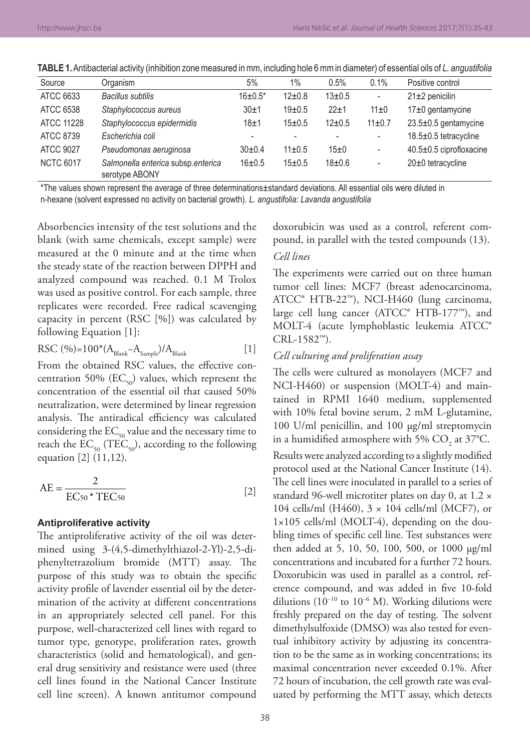| Source           | Organism                                             | 5%             | 1%           | 0.5%         | 0.1%                     | Positive control         |
|------------------|------------------------------------------------------|----------------|--------------|--------------|--------------------------|--------------------------|
| ATCC 6633        | <b>Bacillus subtilis</b>                             | $16 \pm 0.5^*$ | $12 \pm 0.8$ | $13 \pm 0.5$ | ٠                        | $21\pm2$ penicilin       |
| ATCC 6538        | Staphylococcus aureus                                | 30±1           | $19+0.5$     | $22 + 1$     | $11\pm0$                 | $17±0$ gentamycine       |
| ATCC 11228       | Staphylococcus epidermidis                           | 18±1           | 15±0.5       | $12 \pm 0.5$ | $11 \pm 0.7$             | $23.5\pm0.5$ gentamycine |
| ATCC 8739        | Escherichia coli                                     |                |              |              | ٠                        | 18.5±0.5 tetracycline    |
| <b>ATCC 9027</b> | Pseudomonas aeruginosa                               | $30+0.4$       | $11 \pm 0.5$ | 15±0         | ٠                        | 40.5±0.5 ciprofloxacine  |
| <b>NCTC 6017</b> | Salmonella enterica subsp.enterica<br>serotype ABONY | 16±0.5         | 15±0.5       | $18 + 0.6$   | $\overline{\phantom{a}}$ | 20±0 tetracycline        |

**TABLE 1.** Antibacterial activity (inhibition zone measured in mm, including hole 6 mm in diameter) of essential oils of *L. angustifolia*

\*The values shown represent the average of three determinations±standard deviations. All essential oils were diluted in n‑hexane (solvent expressed no activity on bacterial growth). *L. angustifolia: Lavanda angustifolia*

Absorbencies intensity of the test solutions and the blank (with same chemicals, except sample) were measured at the 0 minute and at the time when the steady state of the reaction between DPPH and analyzed compound was reached. 0.1 M Trolox was used as positive control. For each sample, three replicates were recorded. Free radical scavenging capacity in percent (RSC [%]) was calculated by following Equation [1]:

$$
RSC (%)=100*(ABlank-ASample)/ABlank [1]
$$

From the obtained RSC values, the effective concentration 50% ( $EC_{50}$ ) values, which represent the concentration of the essential oil that caused 50% neutralization, were determined by linear regression analysis. The antiradical efficiency was calculated considering the  $EC_{50}$  value and the necessary time to reach the  $EC_{50}$  (TEC<sub>50</sub>), according to the following equation [2] (11,12).

$$
AE = \frac{2}{EC_{50} * TEC_{50}}
$$
 [2]

#### **Antiproliferative activity**

The antiproliferative activity of the oil was determined using 3-(4,5-dimethylthiazol-2-Yl)-2,5-diphenyltetrazolium bromide (MTT) assay. The purpose of this study was to obtain the specific activity profile of lavender essential oil by the determination of the activity at different concentrations in an appropriately selected cell panel. For this purpose, well-characterized cell lines with regard to tumor type, genotype, proliferation rates, growth characteristics (solid and hematological), and general drug sensitivity and resistance were used (three cell lines found in the National Cancer Institute cell line screen). A known antitumor compound

doxorubicin was used as a control, referent compound, in parallel with the tested compounds (13).

# *Cell lines*

The experiments were carried out on three human tumor cell lines: MCF7 (breast adenocarcinoma, ATCC® HTB-22™), NCI-H460 (lung carcinoma, large cell lung cancer (ATCC® HTB-177™), and MOLT-4 (acute lymphoblastic leukemia ATCC® CRL-1582™).

#### *Cell culturing and proliferation assay*

The cells were cultured as monolayers (MCF7 and NCI-H460) or suspension (MOLT-4) and maintained in RPMI 1640 medium, supplemented with 10% fetal bovine serum, 2 mM L-glutamine, 100 U/ml penicillin, and 100 µg/ml streptomycin in a humidified atmosphere with 5%  $\mathrm{CO}_2^{\vphantom{\dagger}}$  at 37°C. Results were analyzed according to a slightly modified protocol used at the National Cancer Institute (14). The cell lines were inoculated in parallel to a series of standard 96-well microtiter plates on day 0, at 1.2 × 104 cells/ml (H460), 3 × 104 cells/ml (MCF7), or 1×105 cells/ml (MOLT-4), depending on the doubling times of specific cell line. Test substances were then added at 5, 10, 50, 100, 500, or 1000 µg/ml concentrations and incubated for a further 72 hours. Doxorubicin was used in parallel as a control, reference compound, and was added in five 10-fold dilutions (10<sup>-10</sup> to 10<sup>-6</sup> M). Working dilutions were freshly prepared on the day of testing. The solvent dimethylsulfoxide (DMSO) was also tested for eventual inhibitory activity by adjusting its concentration to be the same as in working concentrations; its maximal concentration never exceeded 0.1%. After 72 hours of incubation, the cell growth rate was evaluated by performing the MTT assay, which detects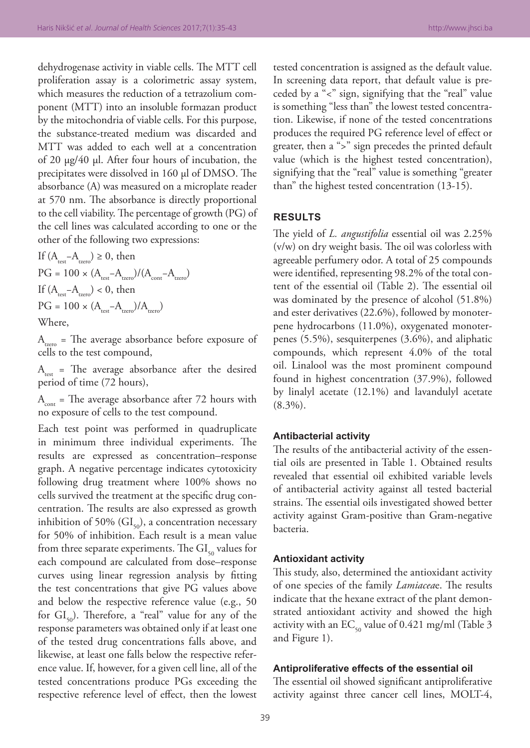dehydrogenase activity in viable cells. The MTT cell proliferation assay is a colorimetric assay system, which measures the reduction of a tetrazolium component (MTT) into an insoluble formazan product by the mitochondria of viable cells. For this purpose, the substance-treated medium was discarded and MTT was added to each well at a concentration of 20 µg/40 µl. After four hours of incubation, the precipitates were dissolved in 160 µl of DMSO. The absorbance (A) was measured on a microplate reader at 570 nm. The absorbance is directly proportional to the cell viability. The percentage of growth (PG) of the cell lines was calculated according to one or the other of the following two expressions:

If  $(A_{\text{test}}-A_{\text{tree}}) \geq 0$ , then  $PG = 100 \times (A_{\text{test}}-A_{\text{zero}})/(A_{\text{cont}}-A_{\text{zero}})$ If  $(A_{\text{test}}-A_{\text{test}})$  < 0, then  $PG = 100 \times (A_{\text{regr}} - A_{\text{tzero}})/A_{\text{tzero}}$ Where,

 $A_{t_{zero}}$  = The average absorbance before exposure of cells to the test compound,

 $A_{\text{test}}$  = The average absorbance after the desired period of time (72 hours),

 $A<sub>cont</sub>$  = The average absorbance after 72 hours with no exposure of cells to the test compound.

Each test point was performed in quadruplicate in minimum three individual experiments. The results are expressed as concentration–response graph. A negative percentage indicates cytotoxicity following drug treatment where 100% shows no cells survived the treatment at the specific drug concentration. The results are also expressed as growth inhibition of 50% ( $GI<sub>50</sub>$ ), a concentration necessary for 50% of inhibition. Each result is a mean value from three separate experiments. The  $GI<sub>so</sub>$  values for each compound are calculated from dose–response curves using linear regression analysis by fitting the test concentrations that give PG values above and below the respective reference value (e.g., 50 for  $GI_{50}$ ). Therefore, a "real" value for any of the response parameters was obtained only if at least one of the tested drug concentrations falls above, and likewise, at least one falls below the respective reference value. If, however, for a given cell line, all of the tested concentrations produce PGs exceeding the respective reference level of effect, then the lowest

tested concentration is assigned as the default value. In screening data report, that default value is preceded by a "<" sign, signifying that the "real" value is something "less than" the lowest tested concentration. Likewise, if none of the tested concentrations produces the required PG reference level of effect or greater, then a ">" sign precedes the printed default value (which is the highest tested concentration), signifying that the "real" value is something "greater than" the highest tested concentration (13-15).

# **RESULTS**

The yield of *L. angustifolia* essential oil was 2.25% (v/w) on dry weight basis. The oil was colorless with agreeable perfumery odor. A total of 25 compounds were identified, representing 98.2% of the total content of the essential oil (Table 2). The essential oil was dominated by the presence of alcohol (51.8%) and ester derivatives (22.6%), followed by monoterpene hydrocarbons (11.0%), oxygenated monoterpenes (5.5%), sesquiterpenes (3.6%), and aliphatic compounds, which represent 4.0% of the total oil. Linalool was the most prominent compound found in highest concentration (37.9%), followed by linalyl acetate (12.1%) and lavandulyl acetate (8.3%).

#### **Antibacterial activity**

The results of the antibacterial activity of the essential oils are presented in Table 1. Obtained results revealed that essential oil exhibited variable levels of antibacterial activity against all tested bacterial strains. The essential oils investigated showed better activity against Gram-positive than Gram-negative bacteria.

#### **Antioxidant activity**

This study, also, determined the antioxidant activity of one species of the family *Lamiacea*e. The results indicate that the hexane extract of the plant demonstrated antioxidant activity and showed the high activity with an  $EC_{50}$  value of 0.421 mg/ml (Table 3 and Figure 1).

## **Antiproliferative effects of the essential oil**

The essential oil showed significant antiproliferative activity against three cancer cell lines, MOLT-4,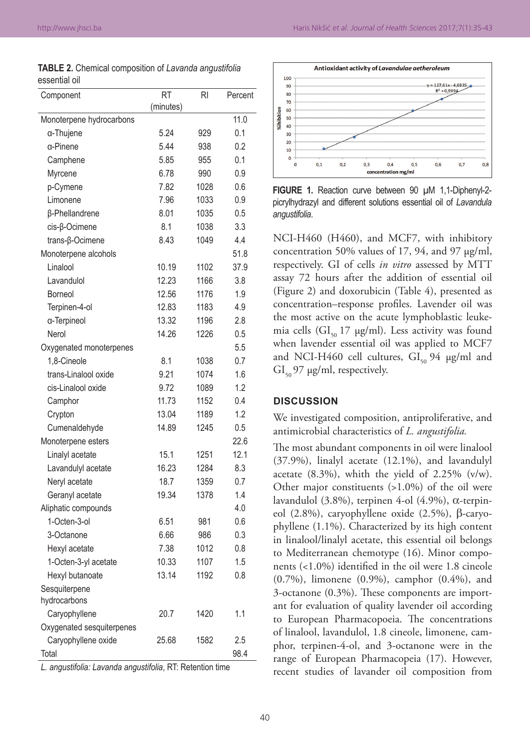| <b>TABLE 2.</b> Chemical composition of Lavanda angustifolia |  |  |
|--------------------------------------------------------------|--|--|
| essential oil                                                |  |  |

| Component                 | RT        | RI   | Percent |
|---------------------------|-----------|------|---------|
|                           | (minutes) |      |         |
| Monoterpene hydrocarbons  |           |      | 11.0    |
| α-Thujene                 | 5.24      | 929  | 0.1     |
| α-Pinene                  | 5.44      | 938  | 0.2     |
| Camphene                  | 5.85      | 955  | 0.1     |
| Myrcene                   | 6.78      | 990  | 0.9     |
| p-Cymene                  | 7.82      | 1028 | 0.6     |
| Limonene                  | 7.96      | 1033 | 0.9     |
| β-Phellandrene            | 8.01      | 1035 | 0.5     |
| cis-β-Ocimene             | 8.1       | 1038 | 3.3     |
| trans-β-Ocimene           | 8.43      | 1049 | 4.4     |
| Monoterpene alcohols      |           |      | 51.8    |
| Linalool                  | 10.19     | 1102 | 37.9    |
| Lavandulol                | 12.23     | 1166 | 3.8     |
| Borneol                   | 12.56     | 1176 | 1.9     |
| Terpinen-4-ol             | 12.83     | 1183 | 4.9     |
| a-Terpineol               | 13.32     | 1196 | 2.8     |
| Nerol                     | 14.26     | 1226 | 0.5     |
| Oxygenated monoterpenes   |           |      | 5.5     |
| 1,8-Cineole               | 8.1       | 1038 | 0.7     |
| trans-Linalool oxide      | 9.21      | 1074 | 1.6     |
| cis-Linalool oxide        | 9.72      | 1089 | 1.2     |
| Camphor                   | 11.73     | 1152 | 0.4     |
| Crypton                   | 13.04     | 1189 | 1.2     |
| Cumenaldehyde             | 14.89     | 1245 | 0.5     |
| Monoterpene esters        |           |      | 22.6    |
| Linalyl acetate           | 15.1      | 1251 | 12.1    |
| Lavandulyl acetate        | 16.23     | 1284 | 8.3     |
| Neryl acetate             | 18.7      | 1359 | 0.7     |
| Geranyl acetate           | 19.34     | 1378 | 1.4     |
| Aliphatic compounds       |           |      | 4.0     |
| 1-Octen-3-ol              | 6.51      | 981  | 0.6     |
| 3-Octanone                | 6.66      | 986  | 0.3     |
| Hexyl acetate             | 7.38      | 1012 | 0.8     |
| 1-Octen-3-yl acetate      | 10.33     | 1107 | 1.5     |
| Hexyl butanoate           | 13.14     | 1192 | 0.8     |
| Sesquiterpene             |           |      |         |
| hydrocarbons              |           |      |         |
| Caryophyllene             | 20.7      | 1420 | 1.1     |
| Oxygenated sesquiterpenes |           |      |         |
| Caryophyllene oxide       | 25.68     | 1582 | 2.5     |
| Total                     |           |      | 98.4    |

*L. angustifolia: Lavanda angustifolia*, RT: Retention time



**FIGURE 1.** Reaction curve between 90 µM 1,1-Diphenyl-2picrylhydrazyl and different solutions essential oil of *Lavandula angustifolia*.

NCI-H460 (H460), and MCF7, with inhibitory concentration 50% values of 17, 94, and 97 µg/ml, respectively. GI of cells *in vitro* assessed by MTT assay 72 hours after the addition of essential oil (Figure 2) and doxorubicin (Table 4), presented as concentration–response profiles. Lavender oil was the most active on the acute lymphoblastic leukemia cells ( $GI<sub>50</sub>$  17  $\mu$ g/ml). Less activity was found when lavender essential oil was applied to MCF7 and NCI-H460 cell cultures,  $GI_{50}$  94  $\mu$ g/ml and  $GI_{50}$  97 µg/ml, respectively.

# **DISCUSSION**

We investigated composition, antiproliferative, and antimicrobial characteristics of *L. angustifolia.*

The most abundant components in oil were linalool (37.9%), linalyl acetate (12.1%), and lavandulyl acetate (8.3%), whith the yield of 2.25% (v/w). Other major constituents (>1.0%) of the oil were lavandulol (3.8%), terpinen 4-ol (4.9%), α-terpineol (2.8%), caryophyllene oxide (2.5%), β-caryophyllene (1.1%). Characterized by its high content in linalool/linalyl acetate, this essential oil belongs to Mediterranean chemotype (16). Minor components (<1.0%) identified in the oil were 1.8 cineole (0.7%), limonene (0.9%), camphor (0.4%), and 3-octanone (0.3%). These components are important for evaluation of quality lavender oil according to European Pharmacopoeia. The concentrations of linalool, lavandulol, 1.8 cineole, limonene, camphor, terpinen-4-ol, and 3-octanone were in the range of European Pharmacopeia (17). However, recent studies of lavander oil composition from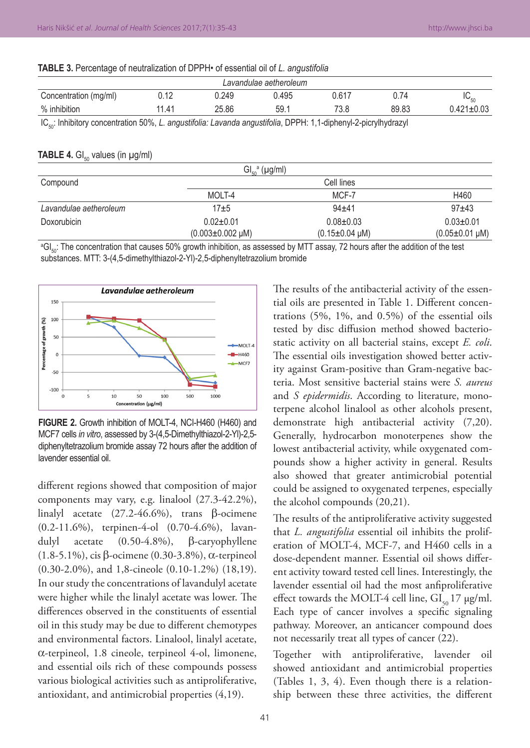| Lavandulae aetheroleum |                 |       |       |       |       |                  |
|------------------------|-----------------|-------|-------|-------|-------|------------------|
| Concentration (mg/ml)  | ነ 4 ባ<br>J. I 4 | 0.249 | 0.495 | 0.617 | J.74  | $IC_{50}$        |
| % inhibition           | 11.41           | 25.86 | 59.1  | 73.8  | 89.83 | $0.421 \pm 0.03$ |

**TABLE 3.** Percentage of neutralization of DPPH• of essential oil of *L. angustifolia*

IC<sub>50</sub>: Inhibitory concentration 50%, *L. angustifolia: Lavanda angustifolia*, DPPH: 1,1-diphenyl-2-picrylhydrazyl

#### **TABLE 4.** GI<sub>50</sub> values (in  $\mu$ g/ml)

| Gl <sub>50</sub> <sup>a</sup> (µg/ml) |                           |                           |                           |  |  |
|---------------------------------------|---------------------------|---------------------------|---------------------------|--|--|
| Compound                              | Cell lines                |                           |                           |  |  |
|                                       | MOLT-4                    | MCF-7                     | H460                      |  |  |
| Lavandulae aetheroleum                | $17 + 5$                  | $94 + 41$                 | $97+43$                   |  |  |
| Doxorubicin                           | $0.02 \pm 0.01$           | $0.08 + 0.03$             | $0.03 \pm 0.01$           |  |  |
|                                       | $(0.003 \pm 0.002 \mu M)$ | $(0.15 \pm 0.04 \,\mu M)$ | $(0.05 \pm 0.01 \,\mu M)$ |  |  |

°GI $_{\rm so}$ : The concentration that causes 50% growth inhibition, as assessed by MTT assay, 72 hours after the addition of the test substances. MTT: 3‑(4,5‑dimethylthiazol‑2‑Yl)‑2,5‑diphenyltetrazolium bromide



**FIGURE 2.** Growth inhibition of MOLT-4, NCI-H460 (H460) and MCF7 cells *in vitro*, assessed by 3-(4,5-Dimethylthiazol-2-Yl)-2,5diphenyltetrazolium bromide assay 72 hours after the addition of lavender essential oil.

different regions showed that composition of major components may vary, e.g. linalool (27.3-42.2%), linalyl acetate (27.2-46.6%), trans β-ocimene (0.2-11.6%), terpinen-4-ol (0.70-4.6%), lavandulyl acetate (0.50-4.8%), β-caryophyllene (1.8-5.1%), cis β-ocimene (0.30-3.8%), α-terpineol (0.30-2.0%), and 1,8-cineole (0.10-1.2%) (18,19). In our study the concentrations of lavandulyl acetate were higher while the linalyl acetate was lower. The differences observed in the constituents of essential oil in this study may be due to different chemotypes and environmental factors. Linalool, linalyl acetate, α-terpineol, 1.8 cineole, terpineol 4-ol, limonene, and essential oils rich of these compounds possess various biological activities such as antiproliferative, antioxidant, and antimicrobial properties (4,19).

The results of the antibacterial activity of the essential oils are presented in Table 1. Different concentrations (5%, 1%, and 0.5%) of the essential oils tested by disc diffusion method showed bacteriostatic activity on all bacterial stains, except *E. coli*. The essential oils investigation showed better activity against Gram-positive than Gram-negative bacteria. Most sensitive bacterial stains were *S. aureus* and *S epidermidis*. According to literature, monoterpene alcohol linalool as other alcohols present, demonstrate high antibacterial activity (7,20). Generally, hydrocarbon monoterpenes show the lowest antibacterial activity, while oxygenated compounds show a higher activity in general. Results also showed that greater antimicrobial potential could be assigned to oxygenated terpenes, especially the alcohol compounds (20,21).

The results of the antiproliferative activity suggested that *L. angustifolia* essential oil inhibits the proliferation of MOLT-4, MCF-7, and H460 cells in a dose-dependent manner. Essential oil shows different activity toward tested cell lines. Interestingly, the lavender essential oil had the most anfiproliferative effect towards the MOLT-4 cell line,  $GI_{so}$  17  $\mu$ g/ml. Each type of cancer involves a specific signaling pathway. Moreover, an anticancer compound does not necessarily treat all types of cancer (22).

Together with antiproliferative, lavender oil showed antioxidant and antimicrobial properties (Tables 1, 3, 4). Even though there is a relationship between these three activities, the different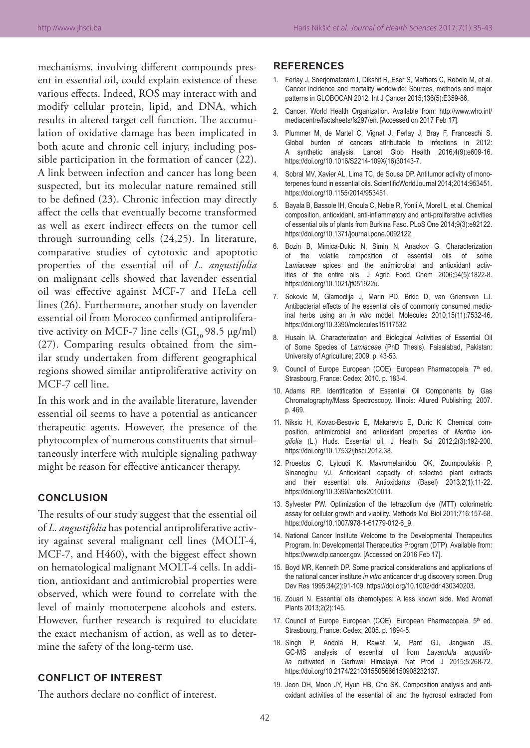mechanisms, involving different compounds present in essential oil, could explain existence of these various effects. Indeed, ROS may interact with and modify cellular protein, lipid, and DNA, which results in altered target cell function. The accumulation of oxidative damage has been implicated in both acute and chronic cell injury, including possible participation in the formation of cancer (22). A link between infection and cancer has long been suspected, but its molecular nature remained still to be defined (23). Chronic infection may directly affect the cells that eventually become transformed as well as exert indirect effects on the tumor cell through surrounding cells (24,25). In literature, comparative studies of cytotoxic and apoptotic properties of the essential oil of *L. angustifolia* on malignant cells showed that lavender essential oil was effective against MCF-7 and HeLa cell lines (26). Furthermore, another study on lavender essential oil from Morocco confirmed antiproliferative activity on MCF-7 line cells  $(GI_{50} 98.5 \text{ µg/ml})$ (27). Comparing results obtained from the similar study undertaken from different geographical regions showed similar antiproliferative activity on MCF-7 cell line.

In this work and in the available literature, lavender essential oil seems to have a potential as anticancer therapeutic agents. However, the presence of the phytocomplex of numerous constituents that simultaneously interfere with multiple signaling pathway might be reason for effective anticancer therapy.

# **CONCLUSION**

The results of our study suggest that the essential oil of *L. angustifolia* has potential antiproliferative activity against several malignant cell lines (MOLT-4, MCF-7, and H460), with the biggest effect shown on hematological malignant MOLT-4 cells. In addition, antioxidant and antimicrobial properties were observed, which were found to correlate with the level of mainly monoterpene alcohols and esters. However, further research is required to elucidate the exact mechanism of action, as well as to determine the safety of the long-term use.

# **CONFLICT OF INTEREST**

The authors declare no conflict of interest.

#### **REFERENCES**

- 1. Ferlay J, Soerjomataram I, Dikshit R, Eser S, Mathers C, Rebelo M, et al*.* Cancer incidence and mortality worldwide: Sources, methods and major patterns in GLOBOCAN 2012. Int J Cancer 2015;136(5):E359-86.
- 2. Cancer. World Health Organization. Available from: http://www.who.int/ mediacentre/factsheets/fs297/en. [Accessed on 2017 Feb 17].
- 3. Plummer M, de Martel C, Vignat J, Ferlay J, Bray F, Franceschi S. Global burden of cancers attributable to infections in 2012: A synthetic analysis. Lancet Glob Health 2016;4(9):e609-16. https://doi.org/10.1016/S2214-109X(16)30143-7.
- 4. Sobral MV, Xavier AL, Lima TC, de Sousa DP. Antitumor activity of monoterpenes found in essential oils. ScientificWorldJournal 2014;2014:953451. https://doi.org/10.1155/2014/953451.
- 5. Bayala B, Bassole IH, Gnoula C, Nebie R, Yonli A, Morel L, et al*.* Chemical composition, antioxidant, anti-inflammatory and anti-proliferative activities of essential oils of plants from Burkina Faso. PLoS One 2014;9(3):e92122. https://doi.org/10.1371/journal.pone.0092122.
- 6. Bozin B, Mimica-Dukic N, Simin N, Anackov G. Characterization of the volatile composition of essential oils of some *Lamiaceae* spices and the antimicrobial and antioxidant activ‑ ities of the entire oils. J Agric Food Chem 2006;54(5):1822-8. https://doi.org/10.1021/jf051922u.
- 7. Sokovic M, Glamoclija J, Marin PD, Brkic D, van Griensven LJ. Antibacterial effects of the essential oils of commonly consumed medicinal herbs using an *in vitro* model. Molecules 2010;15(11):7532-46. https://doi.org/10.3390/molecules15117532.
- 8. Husain IA. Characterization and Biological Activities of Essential Oil of Some Species of *Lamiaceae* (PhD Thesis). Faisalabad, Pakistan: University of Agriculture; 2009. p. 43-53.
- 9. Council of Europe European (COE). European Pharmacopeia. 7th ed. Strasbourg, France: Cedex; 2010. p. 183-4.
- 10. Adams RP. Identification of Essential Oil Components by Gas Chromatography/Mass Spectroscopy. Illinois: Allured Publishing; 2007. p. 469.
- 11. Niksic H, Kovac-Besovic E, Makarevic E, Duric K. Chemical composition, antimicrobial and antioxidant properties of *Mentha longifolia* (L.) Huds. Essential oil. J Health Sci 2012;2(3):192-200. https://doi.org/10.17532/jhsci.2012.38.
- 12. Proestos C, Lytoudi K, Mavromelanidou OK, Zoumpoulakis P, Sinanoglou VJ. Antioxidant capacity of selected plant extracts and their essential oils. Antioxidants (Basel) 2013;2(1):11-22. https://doi.org/10.3390/antiox2010011.
- 13. Sylvester PW. Optimization of the tetrazolium dye (MTT) colorimetric assay for cellular growth and viability. Methods Mol Biol 2011;716:157-68. https://doi.org/10.1007/978-1-61779-012-6\_9.
- 14. National Cancer Institute Welcome to the Developmental Therapeutics Program. In: Developmental Therapeutics Program (DTP). Available from: https://www.dtp.cancer.gov. [Accessed on 2016 Feb 17].
- 15. Boyd MR, Kenneth DP. Some practical considerations and applications of the national cancer institute *in vitro* anticancer drug discovery screen. Drug Dev Res 1995;34(2):91-109. https://doi.org/10.1002/ddr.430340203.
- 16. Zouari N. Essential oils chemotypes: A less known side. Med Aromat Plants 2013;2(2):145.
- 17. Council of Europe European (COE). European Pharmacopeia. 5th ed. Strasbourg, France: Cedex; 2005. p. 1894-5.
- 18. Singh P, Andola H, Rawat M, Pant GJ, Jangwan JS. GC-MS analysis of essential oil from *Lavandula angustifolia* cultivated in Garhwal Himalaya. Nat Prod J 2015;5:268-72. https://doi.org/10.2174/2210315505666150908232137.
- 19. Jeon DH, Moon JY, Hyun HB, Cho SK. Composition analysis and antioxidant activities of the essential oil and the hydrosol extracted from